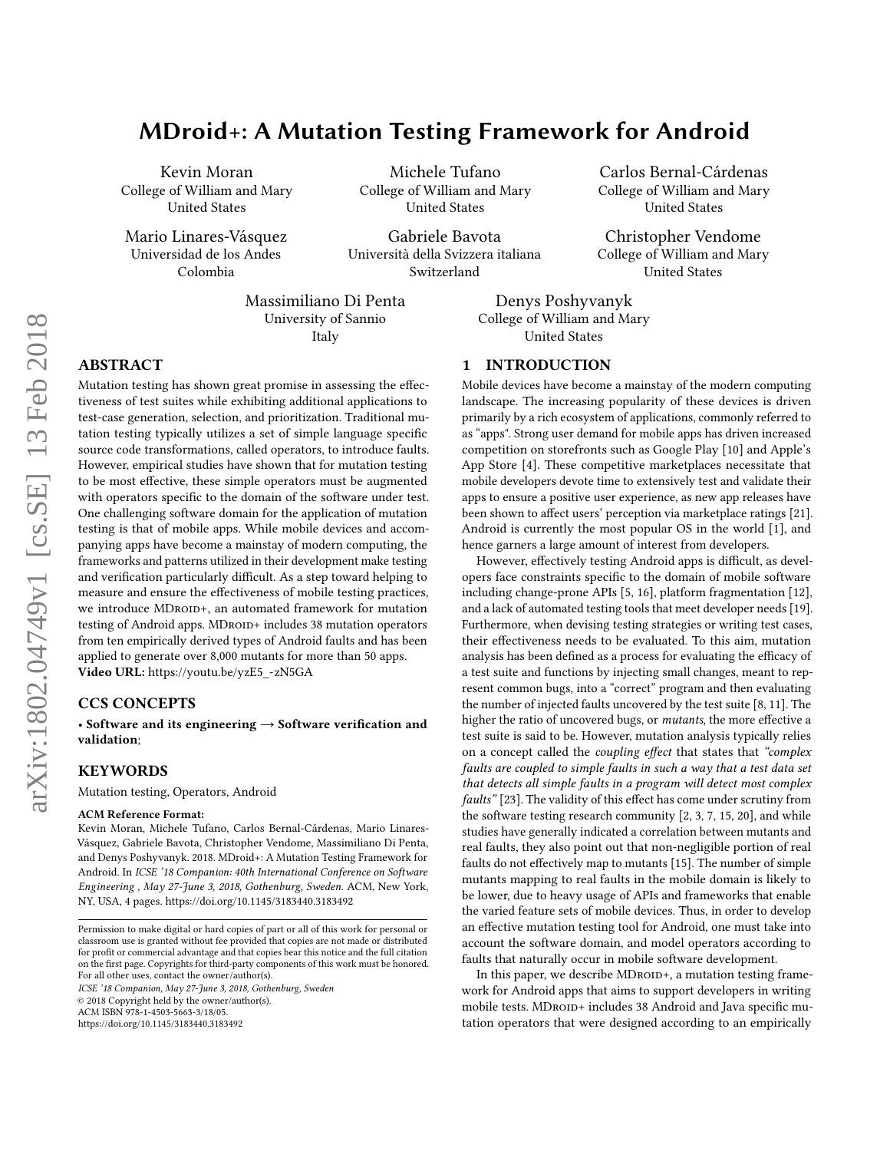# MDroid+: A Mutation Testing Framework for Android

Kevin Moran College of William and Mary United States

Mario Linares-Vásquez Universidad de los Andes Colombia

Michele Tufano College of William and Mary United States

Gabriele Bavota Università della Svizzera italiana Switzerland

Massimiliano Di Penta University of Sannio Italy

Denys Poshyvanyk College of William and Mary United States

## <span id="page-0-0"></span>1 INTRODUCTION

Mobile devices have become a mainstay of the modern computing landscape. The increasing popularity of these devices is driven primarily by a rich ecosystem of applications, commonly referred to as "apps". Strong user demand for mobile apps has driven increased competition on storefronts such as Google Play [\[10\]](#page-3-1) and Apple's App Store [\[4\]](#page-3-2). These competitive marketplaces necessitate that mobile developers devote time to extensively test and validate their apps to ensure a positive user experience, as new app releases have been shown to affect users' perception via marketplace ratings [\[21\]](#page-3-3). Android is currently the most popular OS in the world [\[1\]](#page-3-4), and hence garners a large amount of interest from developers.

Carlos Bernal-Cárdenas College of William and Mary United States

Christopher Vendome College of William and Mary United States

However, effectively testing Android apps is difficult, as developers face constraints specific to the domain of mobile software including change-prone APIs [\[5,](#page-3-5) [16\]](#page-3-6), platform fragmentation [\[12\]](#page-3-7), and a lack of automated testing tools that meet developer needs [\[19\]](#page-3-8). Furthermore, when devising testing strategies or writing test cases, their effectiveness needs to be evaluated. To this aim, mutation analysis has been defined as a process for evaluating the efficacy of a test suite and functions by injecting small changes, meant to represent common bugs, into a "correct" program and then evaluating the number of injected faults uncovered by the test suite [\[8,](#page-3-9) [11\]](#page-3-10). The higher the ratio of uncovered bugs, or mutants, the more effective a test suite is said to be. However, mutation analysis typically relies on a concept called the coupling effect that states that "complex faults are coupled to simple faults in such a way that a test data set that detects all simple faults in a program will detect most complex faults" [\[23\]](#page-3-11). The validity of this effect has come under scrutiny from the software testing research community [\[2,](#page-3-12) [3,](#page-3-13) [7,](#page-3-14) [15,](#page-3-15) [20\]](#page-3-16), and while studies have generally indicated a correlation between mutants and real faults, they also point out that non-negligible portion of real faults do not effectively map to mutants [\[15\]](#page-3-15). The number of simple mutants mapping to real faults in the mobile domain is likely to be lower, due to heavy usage of APIs and frameworks that enable the varied feature sets of mobile devices. Thus, in order to develop an effective mutation testing tool for Android, one must take into account the software domain, and model operators according to faults that naturally occur in mobile software development.

In this paper, we describe MDROID+, a mutation testing framework for Android apps that aims to support developers in writing mobile tests. MDROID+ includes 38 Android and Java specific mutation operators that were designed according to an empirically

# ABSTRACT

Mutation testing has shown great promise in assessing the effectiveness of test suites while exhibiting additional applications to test-case generation, selection, and prioritization. Traditional mutation testing typically utilizes a set of simple language specific source code transformations, called operators, to introduce faults. However, empirical studies have shown that for mutation testing to be most effective, these simple operators must be augmented with operators specific to the domain of the software under test. One challenging software domain for the application of mutation testing is that of mobile apps. While mobile devices and accompanying apps have become a mainstay of modern computing, the frameworks and patterns utilized in their development make testing and verification particularly difficult. As a step toward helping to measure and ensure the effectiveness of mobile testing practices, we introduce MDROID+, an automated framework for mutation testing of Android apps. MDROID+ includes 38 mutation operators from ten empirically derived types of Android faults and has been applied to generate over 8,000 mutants for more than 50 apps. Video URL: [https://youtu.be/yzE5\\_-zN5GA](https://youtu.be/yzE5_-zN5GA)

# CCS CONCEPTS

• Software and its engineering  $\rightarrow$  Software verification and validation;

## **KEYWORDS**

Mutation testing, Operators, Android

#### ACM Reference Format:

Kevin Moran, Michele Tufano, Carlos Bernal-Cárdenas, Mario Linares-Vásquez, Gabriele Bavota, Christopher Vendome, Massimiliano Di Penta, and Denys Poshyvanyk. 2018. MDroid+: A Mutation Testing Framework for Android. In ICSE '18 Companion: 40th International Conference on Software Engineering , May 27-June 3, 2018, Gothenburg, Sweden. ACM, New York, NY, USA, [4](#page-3-0) pages.<https://doi.org/10.1145/3183440.3183492>

ICSE '18 Companion, May 27-June 3, 2018, Gothenburg, Sweden

© 2018 Copyright held by the owner/author(s).

ACM ISBN 978-1-4503-5663-3/18/05.

<https://doi.org/10.1145/3183440.3183492>

Permission to make digital or hard copies of part or all of this work for personal or classroom use is granted without fee provided that copies are not made or distributed for profit or commercial advantage and that copies bear this notice and the full citation on the first page. Copyrights for third-party components of this work must be honored. For all other uses, contact the owner/author(s).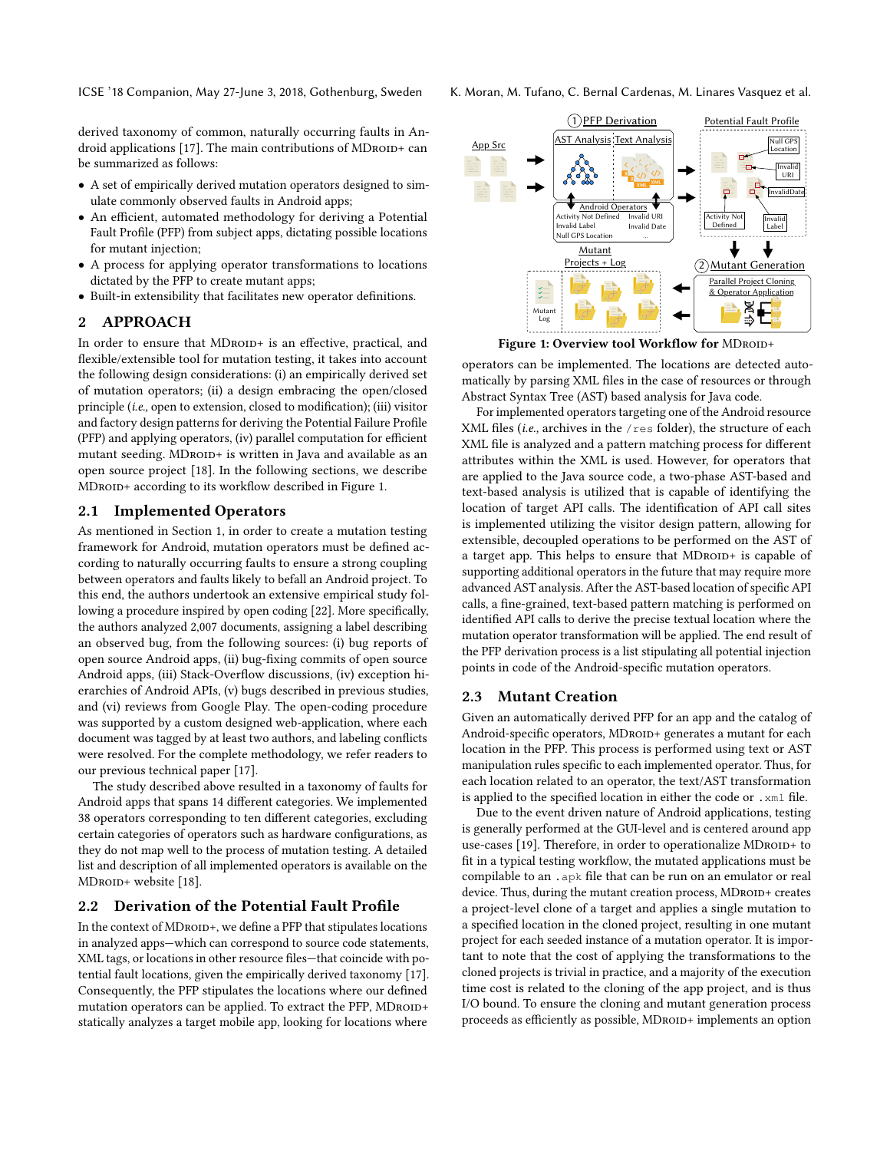derived taxonomy of common, naturally occurring faults in An-droid applications [\[17\]](#page-3-17). The main contributions of MDROID+ can be summarized as follows:

- A set of empirically derived mutation operators designed to simulate commonly observed faults in Android apps;
- An efficient, automated methodology for deriving a Potential Fault Profile (PFP) from subject apps, dictating possible locations for mutant injection;
- A process for applying operator transformations to locations dictated by the PFP to create mutant apps;
- Built-in extensibility that facilitates new operator definitions.

#### 2 APPROACH

In order to ensure that MDROID+ is an effective, practical, and flexible/extensible tool for mutation testing, it takes into account the following design considerations: (i) an empirically derived set of mutation operators; (ii) a design embracing the open/closed principle (i.e., open to extension, closed to modification); (iii) visitor and factory design patterns for deriving the Potential Failure Profile (PFP) and applying operators, (iv) parallel computation for efficient mutant seeding. MDROID+ is written in Java and available as an open source project [\[18\]](#page-3-18). In the following sections, we describe MDROID+ according to its workflow described in Figure [1.](#page-1-0)

# 2.1 Implemented Operators

As mentioned in Section [1,](#page-0-0) in order to create a mutation testing framework for Android, mutation operators must be defined according to naturally occurring faults to ensure a strong coupling between operators and faults likely to befall an Android project. To this end, the authors undertook an extensive empirical study following a procedure inspired by open coding [\[22\]](#page-3-19). More specifically, the authors analyzed 2,007 documents, assigning a label describing an observed bug, from the following sources: (i) bug reports of open source Android apps, (ii) bug-fixing commits of open source Android apps, (iii) Stack-Overflow discussions, (iv) exception hierarchies of Android APIs, (v) bugs described in previous studies, and (vi) reviews from Google Play. The open-coding procedure was supported by a custom designed web-application, where each document was tagged by at least two authors, and labeling conflicts were resolved. For the complete methodology, we refer readers to our previous technical paper [\[17\]](#page-3-17).

The study described above resulted in a taxonomy of faults for Android apps that spans 14 different categories. We implemented 38 operators corresponding to ten different categories, excluding certain categories of operators such as hardware configurations, as they do not map well to the process of mutation testing. A detailed list and description of all implemented operators is available on the MDROID+ website [\[18\]](#page-3-18).

#### 2.2 Derivation of the Potential Fault Profile

In the context of MDROID+, we define a PFP that stipulates locations in analyzed apps—which can correspond to source code statements, XML tags, or locations in other resource files—that coincide with potential fault locations, given the empirically derived taxonomy [\[17\]](#page-3-17). Consequently, the PFP stipulates the locations where our defined mutation operators can be applied. To extract the PFP, MDROID+ statically analyzes a target mobile app, looking for locations where

ICSE '18 Companion, May 27-June 3, 2018, Gothenburg, Sweden K. Moran, M. Tufano, C. Bernal Cardenas, M. Linares Vasquez et al.

<span id="page-1-0"></span>

Figure 1: Overview tool Workflow for MDROID+

operators can be implemented. The locations are detected automatically by parsing XML files in the case of resources or through Abstract Syntax Tree (AST) based analysis for Java code.

For implemented operators targeting one of the Android resource XML files (*i.e.*, archives in the  $/r$ es folder), the structure of each XML file is analyzed and a pattern matching process for different attributes within the XML is used. However, for operators that are applied to the Java source code, a two-phase AST-based and text-based analysis is utilized that is capable of identifying the location of target API calls. The identification of API call sites is implemented utilizing the visitor design pattern, allowing for extensible, decoupled operations to be performed on the AST of a target app. This helps to ensure that MDROID+ is capable of supporting additional operators in the future that may require more advanced AST analysis. After the AST-based location of specific API calls, a fine-grained, text-based pattern matching is performed on identified API calls to derive the precise textual location where the mutation operator transformation will be applied. The end result of the PFP derivation process is a list stipulating all potential injection points in code of the Android-specific mutation operators.

#### 2.3 Mutant Creation

Given an automatically derived PFP for an app and the catalog of Android-specific operators, MDROID+ generates a mutant for each location in the PFP. This process is performed using text or AST manipulation rules specific to each implemented operator. Thus, for each location related to an operator, the text/AST transformation is applied to the specified location in either the code or .xml file.

Due to the event driven nature of Android applications, testing is generally performed at the GUI-level and is centered around app use-cases [\[19\]](#page-3-8). Therefore, in order to operationalize MDROID+ to fit in a typical testing workflow, the mutated applications must be compilable to an .apk file that can be run on an emulator or real device. Thus, during the mutant creation process, MDROID+ creates a project-level clone of a target and applies a single mutation to a specified location in the cloned project, resulting in one mutant project for each seeded instance of a mutation operator. It is important to note that the cost of applying the transformations to the cloned projects is trivial in practice, and a majority of the execution time cost is related to the cloning of the app project, and is thus I/O bound. To ensure the cloning and mutant generation process proceeds as efficiently as possible, MDROID+ implements an option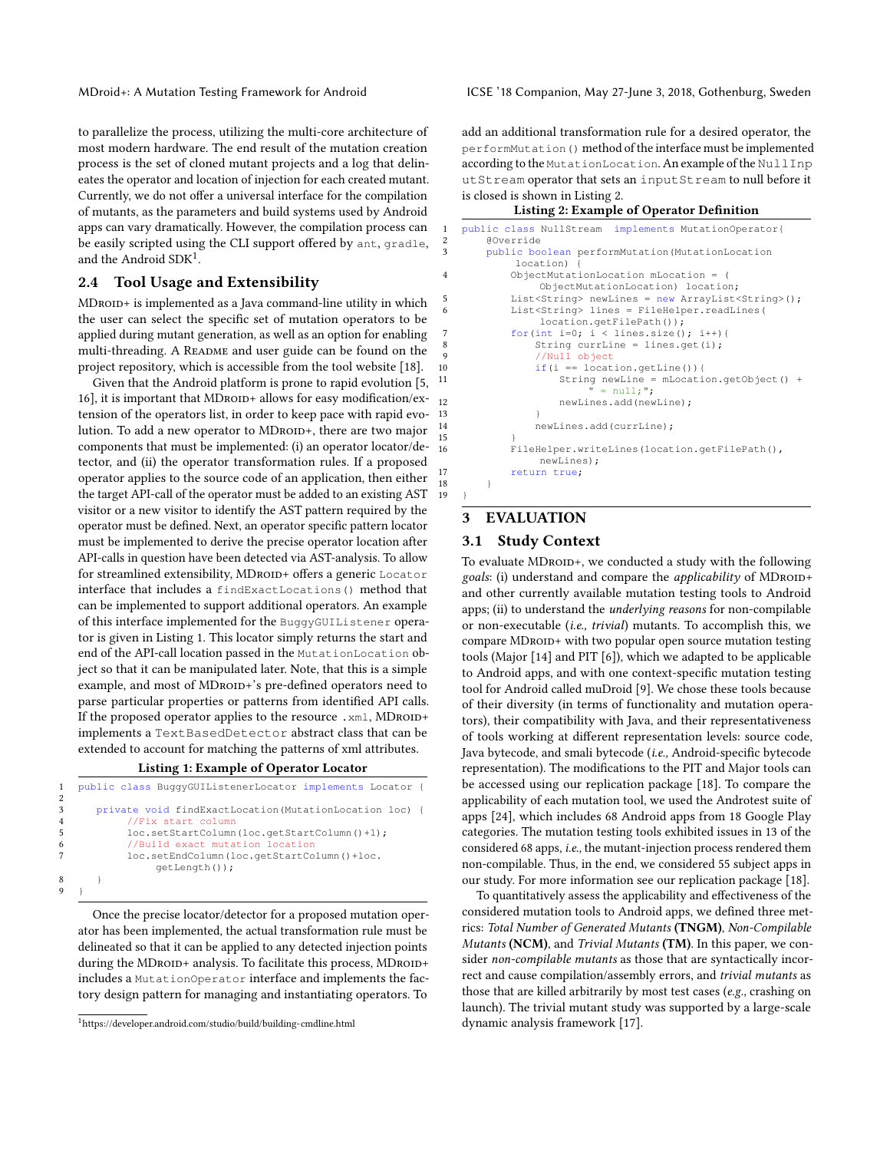to parallelize the process, utilizing the multi-core architecture of most modern hardware. The end result of the mutation creation process is the set of cloned mutant projects and a log that delineates the operator and location of injection for each created mutant. Currently, we do not offer a universal interface for the compilation of mutants, as the parameters and build systems used by Android apps can vary dramatically. However, the compilation process can be easily scripted using the CLI support offered by ant, gradle, and the Android  $SDK<sup>1</sup>$  $SDK<sup>1</sup>$  $SDK<sup>1</sup>$ .

#### 2.4 Tool Usage and Extensibility

MDROID+ is implemented as a Java command-line utility in which the user can select the specific set of mutation operators to be applied during mutant generation, as well as an option for enabling multi-threading. A README and user guide can be found on the project repository, which is accessible from the tool website [\[18\]](#page-3-18).

Given that the Android platform is prone to rapid evolution [\[5,](#page-3-5) [16\]](#page-3-6), it is important that MDROID+ allows for easy modification/extension of the operators list, in order to keep pace with rapid evolution. To add a new operator to MDROID+, there are two major components that must be implemented: (i) an operator locator/detector, and (ii) the operator transformation rules. If a proposed operator applies to the source code of an application, then either the target API-call of the operator must be added to an existing AST visitor or a new visitor to identify the AST pattern required by the operator must be defined. Next, an operator specific pattern locator must be implemented to derive the precise operator location after API-calls in question have been detected via AST-analysis. To allow for streamlined extensibility, MDROID+ offers a generic Locator interface that includes a findExactLocations() method that can be implemented to support additional operators. An example of this interface implemented for the BuggyGUIListener operator is given in Listing 1. This locator simply returns the start and end of the API-call location passed in the MutationLocation object so that it can be manipulated later. Note, that this is a simple example, and most of MDROID+'s pre-defined operators need to parse particular properties or patterns from identified API calls. If the proposed operator applies to the resource . xml, MDROID+ implements a TextBasedDetector abstract class that can be extended to account for matching the patterns of xml attributes.

#### Listing 1: Example of Operator Locator

```
public class BuggyGUIListenerLocator implements Locator {
3 private void findExactLocation(MutationLocation loc) {<br>4 //Fix start column
4 /Fix start column<br>5 10c.setStartColumn
              5 loc.setStartColumn(loc.getStartColumn()+1);
6 //Build exact mutation location<br>7 loc.setEndColumn(loc.getStartCo
              7 loc.setEndColumn(loc.getStartColumn()+loc.
                   getLength());
8 }
9 }
```
 $\frac{2}{3}$ 

Once the precise locator/detector for a proposed mutation operator has been implemented, the actual transformation rule must be delineated so that it can be applied to any detected injection points during the MDROID+ analysis. To facilitate this process, MDROID+ includes a MutationOperator interface and implements the factory design pattern for managing and instantiating operators. To

MDroid+: A Mutation Testing Framework for Android ICSE '18 Companion, May 27-June 3, 2018, Gothenburg, Sweden

add an additional transformation rule for a desired operator, the performMutation() method of the interface must be implemented according to the MutationLocation. An example of the NullInp utStream operator that sets an inputStream to null before it is closed is shown in Listing 2.

#### Listing 2: Example of Operator Definition

```
public class NullStream implements MutationOperator{
       @Override
3 public boolean performMutation(MutationLocation
           location)
4 ObjectMutationLocation mLocation = (
               ObjectMutationLocation) location;
           List<String> newLines = new ArrayList<String>();
           List<String> lines = FileHelper.readLines(
               location.getFilePath());
           for(int i=0; i < lines.size(); i++){
8 String currLine = lines.get(i);<br>9 //Null object
9 //Null object<br>10 if (i == locat
              if(i == location.getLine()){
11 String newLine = mLocation.getObject() +
                        = \text{null};";
12 newLines.add(newLine);<br>13 }
13 }
14 newLines.add(currLine);
15 }
16 FileHelper.writeLines(location.getFilePath(),
               newLines);
17 return true;
```
## 3 EVALUATION

 $\begin{array}{c} 18 \\ 19 \end{array}$ 19 }

#### 3.1 Study Context

To evaluate MDROID+, we conducted a study with the following goals: (i) understand and compare the applicability of MDROID+ and other currently available mutation testing tools to Android apps; (ii) to understand the *underlying reasons* for non-compilable or non-executable (i.e., trivial) mutants. To accomplish this, we compare MDROID+ with two popular open source mutation testing tools (Major [\[14\]](#page-3-20) and PIT [\[6\]](#page-3-21)), which we adapted to be applicable to Android apps, and with one context-specific mutation testing tool for Android called muDroid [\[9\]](#page-3-22). We chose these tools because of their diversity (in terms of functionality and mutation operators), their compatibility with Java, and their representativeness of tools working at different representation levels: source code, Java bytecode, and smali bytecode (i.e., Android-specific bytecode representation). The modifications to the PIT and Major tools can be accessed using our replication package [\[18\]](#page-3-18). To compare the applicability of each mutation tool, we used the Androtest suite of apps [\[24\]](#page-3-23), which includes 68 Android apps from 18 Google Play categories. The mutation testing tools exhibited issues in 13 of the considered 68 apps, i.e., the mutant-injection process rendered them non-compilable. Thus, in the end, we considered 55 subject apps in our study. For more information see our replication package [\[18\]](#page-3-18).

To quantitatively assess the applicability and effectiveness of the considered mutation tools to Android apps, we defined three metrics: Total Number of Generated Mutants (TNGM), Non-Compilable Mutants (NCM), and Trivial Mutants (TM). In this paper, we consider non-compilable mutants as those that are syntactically incorrect and cause compilation/assembly errors, and trivial mutants as those that are killed arbitrarily by most test cases (e.g., crashing on launch). The trivial mutant study was supported by a large-scale dynamic analysis framework [\[17\]](#page-3-17).

<span id="page-2-0"></span><sup>1</sup><https://developer.android.com/studio/build/building-cmdline.html>